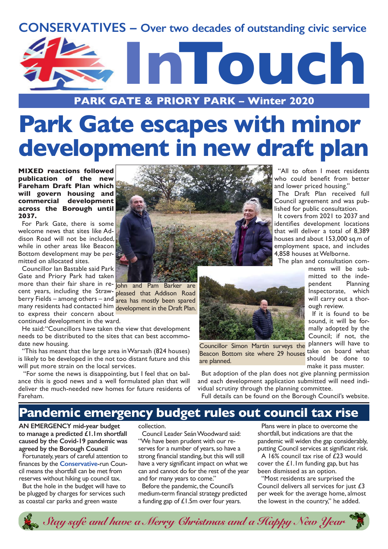



**PARK GATE & PRIORY PARK – Winter 2020**

# **Park Gate escapes with minor development in new draft plan**

**MIXED reactions followed publication of the new Fareham Draft Plan which will govern housing and commercial development across the Borough until 2037.**

For Park Gate, there is some welcome news that sites like Addison Road will not be included, while in other areas like Beacon Bottom development may be permitted on allocated sites.

Councillor Ian Bastable said Park Gate and Priory Park had taken more than their fair share in re- ohn and Pam Barker are cent years, including the Strawberry Fields – among others – and many residents had contacted him development in the Draft Plan. to express their concern about

continued development in the ward.

He said: "Councillors have taken the view that development needs to be distributed to the sites that can best accommodate new housing.

"This has meant that the large area in Warsash (824 houses) is likely to be developed in the not too distant future and this will put more strain on the local services.

 "For some the news is disappointing, but I feel that on balance this is good news and a well formulated plan that will deliver the much-needed new homes for future residents of Fareham.



pleased that Addison Road area has mostly been spared



Beacon Bottom site where 29 houses take on board what Councillor Simon Martin surveys the are planned.

But adoption of the plan does not give planning permission and each development application submitted will need individual scrutiny through the planning committee.

Full details can be found on the Borough Council's website.

## **Pandemic emergency budget rules out council tax rise**

**AN EMERGENCY mid-year budget to manage a predicted £1.1m shortfall caused by the Covid-19 pandemic was agreed by the Borough Council**

Fortunately, years of careful attention to finances by the **Conservative**-run Council means the shortfall can be met from reserves without hiking up council tax.

But the hole in the budget will have to be plugged by charges for services such as coastal car parks and green waste

#### collection.

Council Leader Seán Woodward said: "We have been prudent with our reserves for a number of years, so have a strong financial standing, but this will still have a very significant impact on what we can and cannot do for the rest of the year and for many years to come."

Before the pandemic, the Council's medium-term financial strategy predicted a funding gap of £1.5m over four years.

Plans were in place to overcome the shortfall, but indications are that the pandemic will widen the gap considerably, putting Council services at significant risk.

"All to often I meet residents who could benefit from better

The Draft Plan received full Council agreement and was published for public consultation. It covers from 2021 to 2037 and identifies development locations that will deliver a total of 8,389 houses and about 153,000 sq.m of employment space, and includes 4,858 houses at Welborne.

The plan and consultation com-

ough review.

ments will be submitted to the independent Planning Inspectorate, which will carry out a thor-

If it is found to be sound, it will be formally adopted by the Council; if not, the planners will have to

should be done to make it pass muster.

and lower priced housing."

A 16% council tax rise of £23 would cover the  $£1.1m$  funding gap, but has been dismissed as an option.

"Most residents are surprised the Council delivers all services for just £3 per week for the average home, almost the lowest in the country," he added.

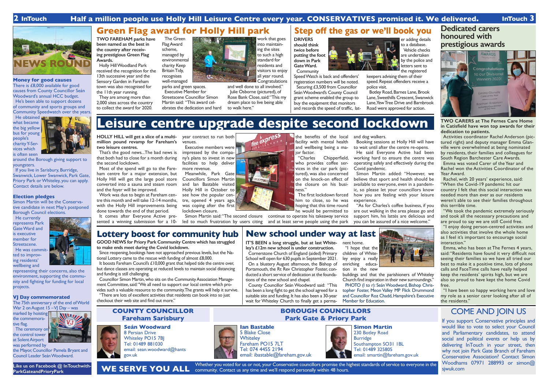#### **Money for good causes**

There is £8,000 available for good causes from County Councillor Seán Woodward's annual HCC budget. He's been able to support dozens of community and sports groups and Community Speedwatch over the years.

He obtained **W** what became the big yellow bus for young people's charity Y-Services which is often seen

If you live in Sarisbury, Burridge, Swanwick, Lower Swanwick, Park Gate, Priory Park or Whiteley, you can apply. Contact details are below.

around the Borough giving support to youngsters.

The 75th anniversary of the end of World War 2 on August 15 – VI Day – was

#### **Election pledges**

Simon Martin will be the Conservative candidate in next May's postponed Borough Council elections.

He currently represents Park Gate Ward and is executive member for Streetscene. He was committed to improv-

ing residents'



representing their concerns, also the environment, supporting the community and fighting for funding for local projects.

#### **VJ Day commemorated**

marked by hoisting the commemorative flag.

The ceremony on the control tower at Solent Airport was performed by

the Mayor, Councillor Pamela Bryant and Council Leader Seán Woodward.

It boosts Fareham Council's £10,000 grant that helped tide the centre over, but dance classes are operating at reduced levels to maintain social distancing

#### **Seán Woodward**

8 Persian Drive Whiteley PO15 7BJ Tel: 01489 881030 email: sean.woodward@hants gov.uk

#### **COUNTY COUNCILLOR Fareham Sarisbury**

#### **BOROUGH COUNCILLORS Park Gate & Priory Park** COME AND JOIN US

Whether you voted for us or not, your Conservative councillors promise the highest standards of service to everyone in the community. Contact us any time and we'll respond personally within 48 hours. **WE SERVE YOU ALL**

If you support Conservative principles and would like to vote to select your Council and Parliamentary candidates, to attend social and political events or help us by delivering InTouch in your street, then why not join Park Gate Branch of Fareham Conservative Association? Contact Simon Woodhams 07971 288993 or simon@ sjwuk.com



## **2 InTouch Half a million people use Holly Hill Leisure Centre every year. CONSERVATIVES promised it. We delivered. InTouch 3**



**to make ends meet during the Covid lockdown.**

Since reopening, bookings have not approached previous levels, but the Na-

**Congratulations** and well done to all involved." Julie Osborne (pictured), of Rose Bank Close, said: "This my dream place to live being able to walk here."

tional Lottery came to the rescue with funding of almost £8,000.

#### **DRIVERS should think twice before putting the foot down in Park Gate Ward. Community**



#### **Lottery boost for community hub GOOD NEWS for Priory Park Community Centre which has struggled New school under way at last**

and funding is still challenging.

Councillor Simon Martin, who sits on the Community Association Management Committee, said: "We all need to support our local centre which provides such a valuable resource to the community. The grants will help it survive. "There are lots of excellent activities that residents can book into so just

# checkout their web site and find out more."









**IT'S BEEN a long struggle, but at last Whiteley's £12m new school is under construction.**

Cornerstone Church of England (aided) Primary School will open for 630 pupils in September 2021. On a blustery August afternoon, the Bishop of Portsmouth, the Rt Rev Christopher Foster, conducted a short service of dedication at the foundations of the new school and chapel.

County Councillor Seán Woodward said: "This has been a long fight to get the school agreed for a suitable site and funding. It has also been a 30-year wait for Whiteley Church to finally get a perma-

nent home. "I hope that the children of Whiteley enjoy a really enriching education in the new



buildings and that the parishioners of Whiteley Church find inspiration in their new surroundings." PHOTO (I to r): Seán Woodward, Bishop Christopher Foster, Meon Valley MP Flick Drummond and Councillor Roz Chadd, Hampshire's Executive Member for Education.

**TWO FAREHAM parks have been named as the best in the country after receiving prestigious Green Flag Awards.**

Holly Hill Woodland Park received the recognition for the 13th successive year and the Sensory Garden in Fareham town was also recognised for the 11th year running.

They are among more than 2,000 sites across the country to collect the award for 2020.

The Green Flag Award scheme, managed by environmental charity Keep Britain Tidy, recognises well-managed

parks and green spaces. Executive Member for Streetscene Councillor Simon Martin said: "This award celebrates the dedication and hard



Speed Watch is back and offenders' registration numbers will be noted. Securing £3,500 from Councillor Seán Woodward's County Council grant scheme enabled the group to buy the equipment that monitors and records the speed of traffic, lat-

er adding details to a database. Vehicle checks are undertaken by the police and letters sent to the registered keepers advising them of their speed. Repeat offenders receive a

police visit. Botley Road, Barnes Lane, Brook

Lane, Sweethills Crescent, Swanwick Lane,Yew Tree Drive and Barnbrook Road were approved for action.

**Simon Martin** 230 Botley Road Burridge Southampton SO31 1BL Tel: 01489 325805 email: smartin@fareham.gov.uk

## **Leisure centre upgrade despite second lockdown**

## **Dedicated carers honoured with prestigious awards**



**TWO CARERS at The Fernes Care Home in Catisfield have won top awards for their dedication to patients.**

Activities coordinator Rachel Anderson (pictured right) and deputy manager Emma Glanville were overwhelmed at being nominated by residents, their families and colleagues for South Region Barchester Care Awards.

Emma was voted Carer of the Year and Rachel won the Activities Coordinator of the Year Award.

Rachel, with 20 years' experience, said: "When the Covid-19 pandemic hit our country I felt that this social interaction was needed more than ever as our residents weren't able to see their families throughout this terrible time.

"We took the pandemic extremely seriously and took all the necessary precautions and are proud to say we are still Covid free.

"I enjoy doing person-centred activities and also activities that involve the whole home as I feel it's important to encourage social interaction."

Emma, who has been at The Fernes 4 years, said: "Residents have found it very difficult not seeing their families so we have all tried our best to make it a positive time, lots of phone calls and FaceTime calls have really helped keep the residents' spirits high, but we are also so proud to have kept the home Covid free.

"I have been so happy working here and love my role as a senior carer looking after all of the residents."

**HOLLY HILL will get a slice of a multimillion pound revamp for Fareham's two leisure centres.** 

That's the good news...The bad news is that both had to close for a month during the second lockdown.

Most of the spend will go to the Fareham centre for a major extension, but Holly Hill will get the large pool store converted into a sauna and steam room and the foyer will be improved.

Work was due to begin at Fareham centre this month and will take 12-14 months, with the Holly Hill improvements being done towards the end of that period.

It comes after Everyone Active presented a winning submission for a 10-

year contract to run both venues.

Executive members were impressed by the company's plans to invest in new facilities to help deliver more revenue. Meanwhile, Park Gate Councillors Simon Martin and Ian Bastable visited Holly Hill in October to see how the popular centre, opened 4 years ago, was coping after the first lockdown closure.



the benefits of the local facility with mental health

> "Charles Chipperfield, who provides coffee services in the car park (pictured), was also concerned on the knock-on effect of the closure on his busi-

Simon Martin said: "The second closure continue to operate his takeaway service led to much frustration by users citing and at least serve people using the park

ness."

and wellbeing being a major factor. and dog walkers.

The first lockdown forced him to close, so he was hoping that this time round he would be permitted to

Booking sessions at Holly Hill will have to wait until after the centre re-opens. He said Everyone Active had been

working hard to ensure the centre was operating safely and effectively during the Covid pandemic.

Simon Martin added: "However, we believe that sport and health should be available to everyone, even in a pandemic, so please let your councillors know how you are feeling with your leisure experience.

"As for Charles's coffee business, if you are out walking in the area please go and support him, his lattés are delicious and you can be assured of a nice welcome."

**Like us on Facebook @ InTouchwith-ParkGateandPrioryPark**

## **Green Flag award for Holly Hill park Step off the gas or we'll book you**